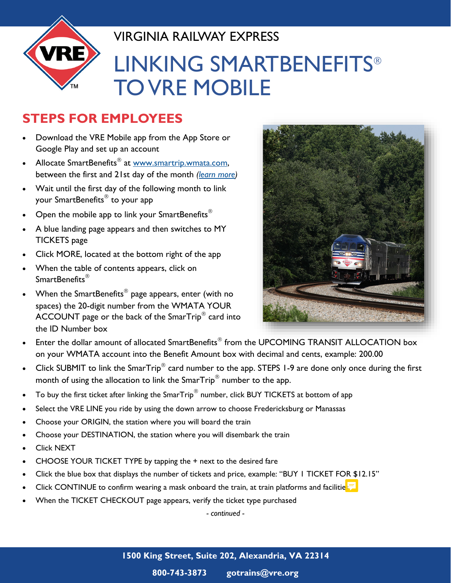

## VIRGINIA RAILWAY EXPRESS LINKING SMARTBENEFITS TO VRE MOBILE

## **STEPS FOR EMPLOYEES**

- Download the VRE Mobile app from the App Store or Google Play and set up an account
- Allocate SmartBenefits<sup>®</sup> at www.smartrip.wmata.com, between the first and 21st day of the month *[\(learn more\)](https://kingpeyton.vre.org/sites/vre/assets/File/Allocation%20of%20SmartBenefits%20(revised)(7).pdf)*
- Wait until the first day of the following month to link your SmartBenefits<sup>®</sup> to your app
- Open the mobile app to link your SmartBenefits<sup>®</sup>
- A blue landing page appears and then switches to MY TICKETS page
- Click MORE, located at the bottom right of the app
- When the table of contents appears, click on SmartBenefits<sup>®</sup>
- When the SmartBenefits $^{\circledR}$  page appears, enter (with no spaces) the 20-digit number from the WMATA YOUR ACCOUNT page or the back of the Smar $\mathsf{Trip}^\circledast$  card into the ID Number box



- Enter the dollar amount of allocated SmartBenefits $^\circledast$  from the UPCOMING TRANSIT ALLOCATION box on your WMATA account into the Benefit Amount box with decimal and cents, example: 200.00
- Click SUBMIT to link the SmarTrip<sup>®</sup> card number to the app. STEPS 1-9 are done only once during the first month of using the allocation to link the  $\mathsf{SmarTrip}^{\circledR}$  number to the app.
- To buy the first ticket after linking the SmarTrip $^{\circledR}$  number, click BUY TICKETS at bottom of app
- Select the VRE LINE you ride by using the down arrow to choose Fredericksburg or Manassas
- Choose your ORIGIN, the station where you will board the train
- Choose your DESTINATION, the station where you will disembark the train
- Click NEXT
- CHOOSE YOUR TICKET TYPE by tapping the + next to the desired fare
- Click the blue box that displays the number of tickets and price, example: "BUY 1 TICKET FOR \$12.15"
- Click CONTINUE to confirm wearing a mask onboard the train, at train platforms and facilities
- When the TICKET CHECKOUT page appears, verify the ticket type purchased

*- continued -*

**800-743-3873 gotrains@vre.org**